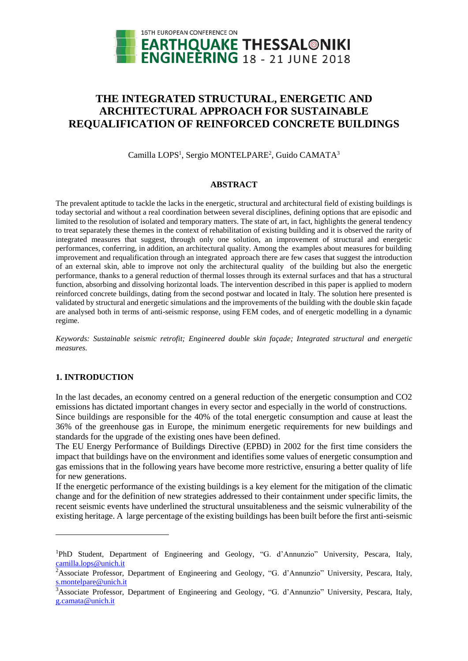

# **THE INTEGRATED STRUCTURAL, ENERGETIC AND ARCHITECTURAL APPROACH FOR SUSTAINABLE REQUALIFICATION OF REINFORCED CONCRETE BUILDINGS**

Camilla LOPS<sup>1</sup>, Sergio MONTELPARE<sup>2</sup>, Guido CAMATA<sup>3</sup>

# **ABSTRACT**

The prevalent aptitude to tackle the lacks in the energetic, structural and architectural field of existing buildings is today sectorial and without a real coordination between several disciplines, defining options that are episodic and limited to the resolution of isolated and temporary matters. The state of art, in fact, highlights the general tendency to treat separately these themes in the context of rehabilitation of existing building and it is observed the rarity of integrated measures that suggest, through only one solution, an improvement of structural and energetic performances, conferring, in addition, an architectural quality. Among the examples about measures for building improvement and requalification through an integrated approach there are few cases that suggest the introduction of an external skin, able to improve not only the architectural quality of the building but also the energetic performance, thanks to a general reduction of thermal losses through its external surfaces and that has a structural function, absorbing and dissolving horizontal loads. The intervention described in this paper is applied to modern reinforced concrete buildings, dating from the second postwar and located in Italy. The solution here presented is validated by structural and energetic simulations and the improvements of the building with the double skin façade are analysed both in terms of anti-seismic response, using FEM codes, and of energetic modelling in a dynamic regime.

*Keywords: Sustainable seismic retrofit; Engineered double skin façade; Integrated structural and energetic measures.*

# **1. INTRODUCTION**

l

In the last decades, an economy centred on a general reduction of the energetic consumption and CO2 emissions has dictated important changes in every sector and especially in the world of constructions. Since buildings are responsible for the 40% of the total energetic consumption and cause at least the 36% of the greenhouse gas in Europe, the minimum energetic requirements for new buildings and standards for the upgrade of the existing ones have been defined.

The EU Energy Performance of Buildings Directive (EPBD) in 2002 for the first time considers the impact that buildings have on the environment and identifies some values of energetic consumption and gas emissions that in the following years have become more restrictive, ensuring a better quality of life for new generations.

If the energetic performance of the existing buildings is a key element for the mitigation of the climatic change and for the definition of new strategies addressed to their containment under specific limits, the recent seismic events have underlined the structural unsuitableness and the seismic vulnerability of the existing heritage. A large percentage of the existing buildings has been built before the first anti-seismic

<sup>1</sup>PhD Student, Department of Engineering and Geology, "G. d'Annunzio" University, Pescara, Italy, [camilla.lops@unich.it](mailto:camilla.lops@unich.it)

<sup>2</sup>Associate Professor, Department of Engineering and Geology, "G. d'Annunzio" University, Pescara, Italy, [s.montelpare@unich.it](mailto:s.montelpare@unich.it)

<sup>3</sup>Associate Professor, Department of Engineering and Geology, "G. d'Annunzio" University, Pescara, Italy, [g.camata@unich.it](mailto:g.camata@unich.it)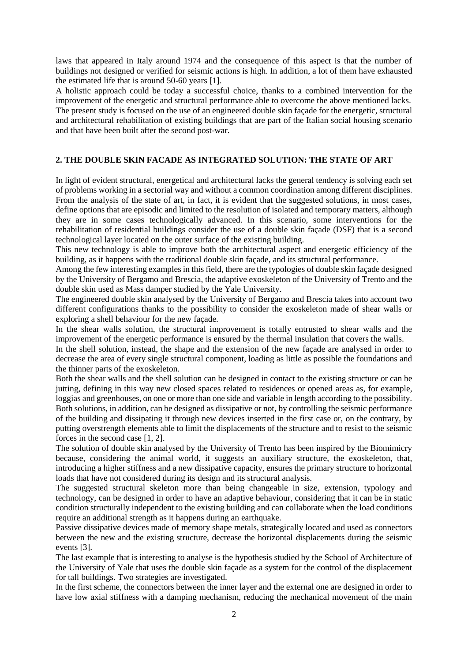laws that appeared in Italy around 1974 and the consequence of this aspect is that the number of buildings not designed or verified for seismic actions is high. In addition, a lot of them have exhausted the estimated life that is around 50-60 years [1].

A holistic approach could be today a successful choice, thanks to a combined intervention for the improvement of the energetic and structural performance able to overcome the above mentioned lacks. The present study is focused on the use of an engineered double skin façade for the energetic, structural and architectural rehabilitation of existing buildings that are part of the Italian social housing scenario and that have been built after the second post-war.

# **2. THE DOUBLE SKIN FACADE AS INTEGRATED SOLUTION: THE STATE OF ART**

In light of evident structural, energetical and architectural lacks the general tendency is solving each set of problems working in a sectorial way and without a common coordination among different disciplines. From the analysis of the state of art, in fact, it is evident that the suggested solutions, in most cases, define options that are episodic and limited to the resolution of isolated and temporary matters, although they are in some cases technologically advanced. In this scenario, some interventions for the rehabilitation of residential buildings consider the use of a double skin façade (DSF) that is a second technological layer located on the outer surface of the existing building.

This new technology is able to improve both the architectural aspect and energetic efficiency of the building, as it happens with the traditional double skin façade, and its structural performance.

Among the few interesting examples in this field, there are the typologies of double skin façade designed by the University of Bergamo and Brescia, the adaptive exoskeleton of the University of Trento and the double skin used as Mass damper studied by the Yale University.

The engineered double skin analysed by the University of Bergamo and Brescia takes into account two different configurations thanks to the possibility to consider the exoskeleton made of shear walls or exploring a shell behaviour for the new façade.

In the shear walls solution, the structural improvement is totally entrusted to shear walls and the improvement of the energetic performance is ensured by the thermal insulation that covers the walls.

In the shell solution, instead, the shape and the extension of the new façade are analysed in order to decrease the area of every single structural component, loading as little as possible the foundations and the thinner parts of the exoskeleton.

Both the shear walls and the shell solution can be designed in contact to the existing structure or can be jutting, defining in this way new closed spaces related to residences or opened areas as, for example, loggias and greenhouses, on one or more than one side and variable in length according to the possibility. Both solutions, in addition, can be designed as dissipative or not, by controlling the seismic performance of the building and dissipating it through new devices inserted in the first case or, on the contrary, by putting overstrength elements able to limit the displacements of the structure and to resist to the seismic forces in the second case [1, 2].

The solution of double skin analysed by the University of Trento has been inspired by the Biomimicry because, considering the animal world, it suggests an auxiliary structure, the exoskeleton, that, introducing a higher stiffness and a new dissipative capacity, ensures the primary structure to horizontal loads that have not considered during its design and its structural analysis.

The suggested structural skeleton more than being changeable in size, extension, typology and technology, can be designed in order to have an adaptive behaviour, considering that it can be in static condition structurally independent to the existing building and can collaborate when the load conditions require an additional strength as it happens during an earthquake.

Passive dissipative devices made of memory shape metals, strategically located and used as connectors between the new and the existing structure, decrease the horizontal displacements during the seismic events [3].

The last example that is interesting to analyse is the hypothesis studied by the School of Architecture of the University of Yale that uses the double skin façade as a system for the control of the displacement for tall buildings. Two strategies are investigated.

In the first scheme, the connectors between the inner layer and the external one are designed in order to have low axial stiffness with a damping mechanism, reducing the mechanical movement of the main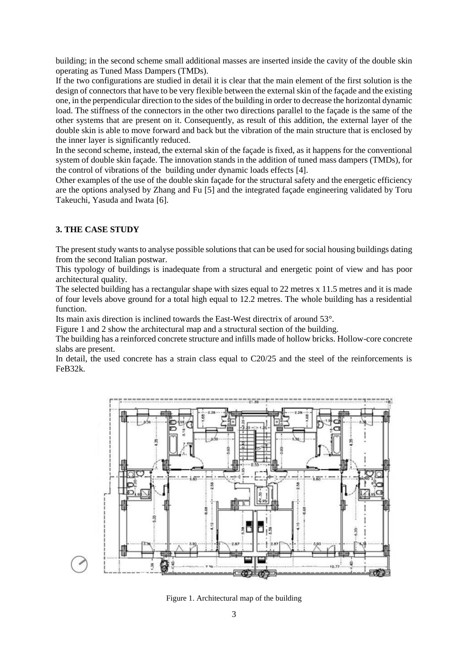building; in the second scheme small additional masses are inserted inside the cavity of the double skin operating as Tuned Mass Dampers (TMDs).

If the two configurations are studied in detail it is clear that the main element of the first solution is the design of connectors that have to be very flexible between the external skin of the façade and the existing one, in the perpendicular direction to the sides of the building in order to decrease the horizontal dynamic load. The stiffness of the connectors in the other two directions parallel to the façade is the same of the other systems that are present on it. Consequently, as result of this addition, the external layer of the double skin is able to move forward and back but the vibration of the main structure that is enclosed by the inner layer is significantly reduced.

In the second scheme, instead, the external skin of the façade is fixed, as it happens for the conventional system of double skin façade. The innovation stands in the addition of tuned mass dampers (TMDs), for the control of vibrations of the building under dynamic loads effects [4].

Other examples of the use of the double skin façade for the structural safety and the energetic efficiency are the options analysed by Zhang and Fu [5] and the integrated façade engineering validated by Toru Takeuchi, Yasuda and Iwata [6].

# **3. THE CASE STUDY**

The present study wants to analyse possible solutions that can be used for social housing buildings dating from the second Italian postwar.

This typology of buildings is inadequate from a structural and energetic point of view and has poor architectural quality.

The selected building has a rectangular shape with sizes equal to 22 metres x 11.5 metres and it is made of four levels above ground for a total high equal to 12.2 metres. The whole building has a residential function.

Its main axis direction is inclined towards the East-West directrix of around 53°.

Figure 1 and 2 show the architectural map and a structural section of the building.

The building has a reinforced concrete structure and infills made of hollow bricks. Hollow-core concrete slabs are present.

In detail, the used concrete has a strain class equal to  $C20/25$  and the steel of the reinforcements is FeB32k.



Figure 1. Architectural map of the building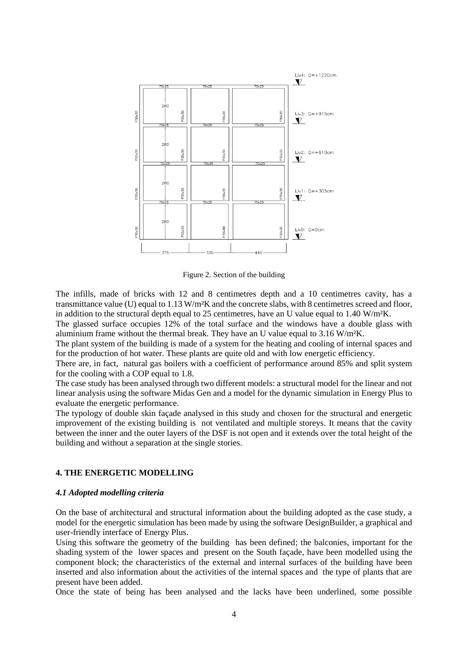

Figure 2. Section of the building

The infills, made of bricks with 12 and 8 centimetres depth and a 10 centimetres cavity, has a transmittance value (U) equal to 1.13 W/m²K and the concrete slabs, with 8 centimetres screed and floor, in addition to the structural depth equal to 25 centimetres, have an U value equal to 1.40 W/m<sup>2</sup>K.

The glassed surface occupies 12% of the total surface and the windows have a double glass with aluminium frame without the thermal break. They have an U value equal to  $3.16 \text{ W/m}^2\text{K}$ .

The plant system of the building is made of a system for the heating and cooling of internal spaces and for the production of hot water. These plants are quite old and with low energetic efficiency.

There are, in fact, natural gas boilers with a coefficient of performance around 85% and split system for the cooling with a COP equal to 1.8.

The case study has been analysed through two different models: a structural model for the linear and not linear analysis using the software Midas Gen and a model for the dynamic simulation in Energy Plus to evaluate the energetic performance.

The typology of double skin façade analysed in this study and chosen for the structural and energetic improvement of the existing building is not ventilated and multiple storeys. It means that the cavity between the inner and the outer layers of the DSF is not open and it extends over the total height of the building and without a separation at the single stories.

# **4. THE ENERGETIC MODELLING**

#### *4.1 Adopted modelling criteria*

On the base of architectural and structural information about the building adopted as the case study, a model for the energetic simulation has been made by using the software DesignBuilder, a graphical and user-friendly interface of Energy Plus.

Using this software the geometry of the building has been defined; the balconies, important for the shading system of the lower spaces and present on the South façade, have been modelled using the component block; the characteristics of the external and internal surfaces of the building have been inserted and also information about the activities of the internal spaces and the type of plants that are present have been added.

Once the state of being has been analysed and the lacks have been underlined, some possible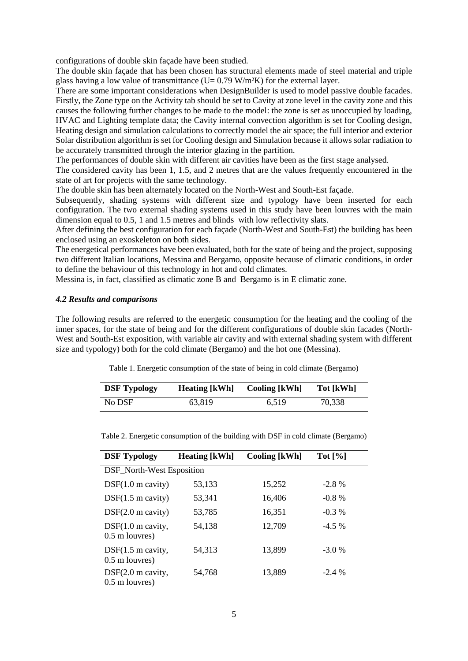configurations of double skin façade have been studied.

The double skin façade that has been chosen has structural elements made of steel material and triple glass having a low value of transmittance ( $U= 0.79$  W/m<sup>2</sup>K) for the external layer.

There are some important considerations when DesignBuilder is used to model passive double facades. Firstly, the Zone type on the Activity tab should be set to Cavity at zone level in the cavity zone and this causes the following further changes to be made to the model: the zone is set as unoccupied by loading, HVAC and Lighting template data; the Cavity internal convection algorithm is set for Cooling design, Heating design and simulation calculations to correctly model the air space; the full interior and exterior Solar distribution algorithm is set for Cooling design and Simulation because it allows solar radiation to be accurately transmitted through the interior glazing in the partition.

The performances of double skin with different air cavities have been as the first stage analysed.

The considered cavity has been 1, 1.5, and 2 metres that are the values frequently encountered in the state of art for projects with the same technology.

The double skin has been alternately located on the North-West and South-Est façade.

Subsequently, shading systems with different size and typology have been inserted for each configuration. The two external shading systems used in this study have been louvres with the main dimension equal to 0.5, 1 and 1.5 metres and blinds with low reflectivity slats.

After defining the best configuration for each façade (North-West and South-Est) the building has been enclosed using an exoskeleton on both sides.

The energetical performances have been evaluated, both for the state of being and the project, supposing two different Italian locations, Messina and Bergamo, opposite because of climatic conditions, in order to define the behaviour of this technology in hot and cold climates.

Messina is, in fact, classified as climatic zone B and Bergamo is in E climatic zone.

#### *4.2 Results and comparisons*

The following results are referred to the energetic consumption for the heating and the cooling of the inner spaces, for the state of being and for the different configurations of double skin facades (North-West and South-Est exposition, with variable air cavity and with external shading system with different size and typology) both for the cold climate (Bergamo) and the hot one (Messina).

Table 1. Energetic consumption of the state of being in cold climate (Bergamo)

| <b>DSF Typology</b> | <b>Heating</b> [kWh] | <b>Cooling [kWh]</b> | Tot [kWh] |  |
|---------------------|----------------------|----------------------|-----------|--|
| No DSF              | 63.819               | 6.519                | 70,338    |  |

| <b>DSF Typology</b>                             | <b>Heating [kWh]</b> | <b>Cooling [kWh]</b> | Tot $[\%]$ |  |
|-------------------------------------------------|----------------------|----------------------|------------|--|
| DSF_North-West Esposition                       |                      |                      |            |  |
| $DSF(1.0 \text{ m cavity})$                     | 53,133               | 15,252               | $-2.8\%$   |  |
| $DSF(1.5 \text{ m cavity})$                     | 53.341               | 16,406               | $-0.8\%$   |  |
| $DSF(2.0$ m cavity)                             | 53,785               | 16,351               | $-0.3\%$   |  |
| $DSF(1.0 \text{ m cavity},$<br>$0.5$ m louvres) | 54,138               | 12,709               | $-4.5\%$   |  |
| $DSF(1.5 \text{ m cavity},$<br>$0.5$ m louvres) | 54,313               | 13,899               | $-3.0%$    |  |
| $DSF(2.0$ m cavity,<br>$0.5$ m louvres)         | 54,768               | 13,889               | $-2.4%$    |  |

Table 2. Energetic consumption of the building with DSF in cold climate (Bergamo)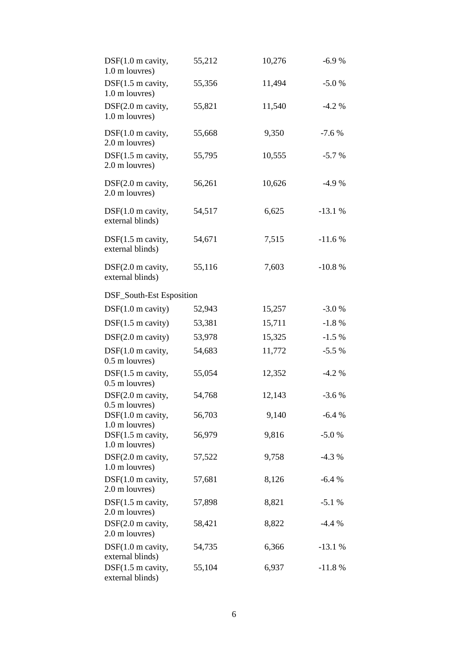| $DSF(1.0 \text{ m cavity},$<br>1.0 m louvres)   | 55,212 | 10,276 | $-6.9%$  |
|-------------------------------------------------|--------|--------|----------|
| DSF(1.5 m cavity,<br>1.0 m louvres)             | 55,356 | 11,494 | $-5.0%$  |
| DSF(2.0 m cavity,<br>1.0 m louvres)             | 55,821 | 11,540 | $-4.2%$  |
| $DSF(1.0 \text{ m cavity},$<br>2.0 m louvres)   | 55,668 | 9,350  | $-7.6%$  |
| $DSF(1.5 \text{ m cavity},$<br>2.0 m louvres)   | 55,795 | 10,555 | $-5.7%$  |
| DSF(2.0 m cavity,<br>2.0 m louvres)             | 56,261 | 10,626 | $-4.9%$  |
| $DSF(1.0$ m cavity,<br>external blinds)         | 54,517 | 6,625  | $-13.1%$ |
| $DSF(1.5 \text{ m cavity},$<br>external blinds) | 54,671 | 7,515  | $-11.6%$ |
| DSF(2.0 m cavity,<br>external blinds)           | 55,116 | 7,603  | $-10.8%$ |
| DSF_South-Est Esposition                        |        |        |          |
| $DSF(1.0 \text{ m cavity})$                     | 52,943 | 15,257 | $-3.0%$  |
| $DSF(1.5 \text{ m cavity})$                     | 53,381 | 15,711 | $-1.8%$  |
| DSF(2.0 m cavity)                               | 53,978 | 15,325 | $-1.5%$  |
| $DSF(1.0 \text{ m cavity},$<br>0.5 m louvres)   | 54,683 | 11,772 | $-5.5%$  |
| DSF(1.5 m cavity,<br>0.5 m louvres)             | 55,054 | 12,352 | $-4.2%$  |
| DSF(2.0 m cavity,<br>$0.5$ m louvres)           | 54,768 | 12,143 | $-3.6%$  |
| $DSF(1.0 \text{ m cavity},$<br>1.0 m louvres)   | 56,703 | 9,140  | $-6.4%$  |
| $DSF(1.5 \text{ m cavity},$<br>1.0 m louvres)   | 56,979 | 9,816  | $-5.0%$  |
| DSF(2.0 m cavity,<br>1.0 m louvres)             | 57,522 | 9,758  | $-4.3%$  |
| $DSF(1.0 \text{ m cavity},$<br>2.0 m louvres)   | 57,681 | 8,126  | $-6.4%$  |
| $DSF(1.5 \text{ m cavity},$<br>2.0 m louvres)   | 57,898 | 8,821  | $-5.1%$  |
| DSF(2.0 m cavity,<br>2.0 m louvres)             | 58,421 | 8,822  | $-4.4%$  |
| $DSF(1.0 \text{ m cavity},$<br>external blinds) | 54,735 | 6,366  | $-13.1%$ |
| DSF(1.5 m cavity,<br>external blinds)           | 55,104 | 6,937  | $-11.8%$ |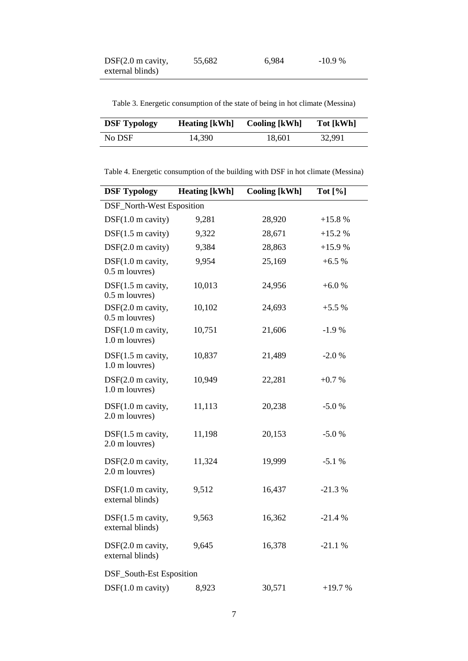| $DSF(2.0$ m cavity, | 55,682 | 6,984 | -10.9 % |
|---------------------|--------|-------|---------|
| external blinds)    |        |       |         |

Table 3. Energetic consumption of the state of being in hot climate (Messina)

| <b>DSF Typology</b> | <b>Heating</b> [kWh] | <b>Cooling</b> [kWh] | Tot [kWh] |
|---------------------|----------------------|----------------------|-----------|
| No DSF              | 14.390               | 18.601               | 32.991    |

Table 4. Energetic consumption of the building with DSF in hot climate (Messina)

| <b>DSF Typology</b>                             | <b>Heating [kWh]</b> | <b>Cooling [kWh]</b> | Tot $[\%]$ |
|-------------------------------------------------|----------------------|----------------------|------------|
| DSF_North-West Esposition                       |                      |                      |            |
| $DSF(1.0 \text{ m cavity})$                     | 9,281                | 28,920               | $+15.8%$   |
| DSF(1.5 m cavity)                               | 9,322                | 28,671               | $+15.2%$   |
| $DSF(2.0$ m cavity)                             | 9,384                | 28,863               | $+15.9%$   |
| DSF(1.0 m cavity,<br>0.5 m louvres)             | 9,954                | 25,169               | $+6.5%$    |
| $DSF(1.5 \text{ m cavity},$<br>0.5 m louvres)   | 10,013               | 24,956               | $+6.0%$    |
| DSF(2.0 m cavity,<br>0.5 m louvres)             | 10,102               | 24,693               | $+5.5%$    |
| DSF(1.0 m cavity,<br>1.0 m louvres)             | 10,751               | 21,606               | $-1.9%$    |
| $DSF(1.5 \text{ m cavity},$<br>1.0 m louvres)   | 10,837               | 21,489               | $-2.0%$    |
| DSF(2.0 m cavity,<br>1.0 m louvres)             | 10,949               | 22,281               | $+0.7%$    |
| $DSF(1.0 \text{ m cavity},$<br>2.0 m louvres)   | 11,113               | 20,238               | $-5.0%$    |
| $DSF(1.5 \text{ m cavity},$<br>2.0 m louvres)   | 11,198               | 20,153               | $-5.0%$    |
| DSF(2.0 m cavity,<br>2.0 m louvres)             | 11,324               | 19,999               | $-5.1%$    |
| $DSF(1.0$ m cavity,<br>external blinds)         | 9,512                | 16,437               | $-21.3%$   |
| $DSF(1.5 \text{ m cavity},$<br>external blinds) | 9,563                | 16,362               | $-21.4%$   |
| DSF(2.0 m cavity,<br>external blinds)           | 9,645                | 16,378               | $-21.1%$   |
| DSF_South-Est Esposition                        |                      |                      |            |
| DSF(1.0 m cavity)                               | 8,923                | 30,571               | $+19.7%$   |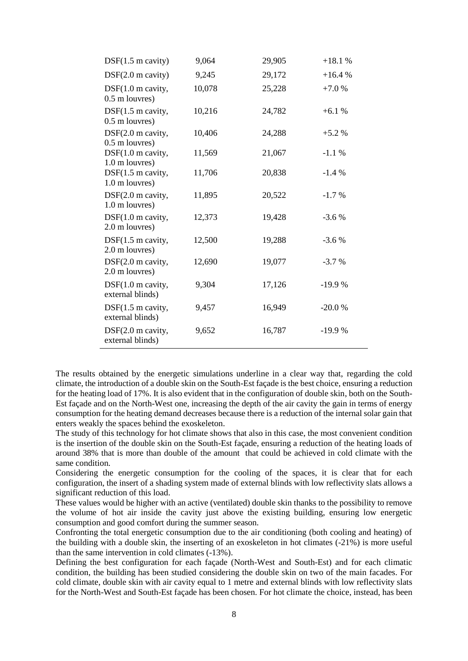| $DSF(1.5 \text{ m cavity})$                     | 9,064  | 29,905 | $+18.1%$ |
|-------------------------------------------------|--------|--------|----------|
| DSF(2.0 m cavity)                               | 9,245  | 29,172 | $+16.4%$ |
| $DSF(1.0 \text{ m cavity},$<br>$0.5$ m louvres) | 10,078 | 25,228 | $+7.0%$  |
| DSF(1.5 m cavity,<br>0.5 m louvres)             | 10,216 | 24,782 | $+6.1%$  |
| DSF(2.0 m cavity,<br>$0.5$ m louvres)           | 10,406 | 24,288 | $+5.2%$  |
| DSF(1.0 m cavity,<br>1.0 m louvres)             | 11,569 | 21,067 | $-1.1%$  |
| DSF(1.5 m cavity,<br>1.0 m louvres)             | 11,706 | 20,838 | $-1.4%$  |
| DSF(2.0 m cavity,<br>1.0 m louvres)             | 11,895 | 20,522 | $-1.7%$  |
| $DSF(1.0 \text{ m cavity},$<br>2.0 m louvres)   | 12,373 | 19,428 | $-3.6%$  |
| $DSF(1.5 \text{ m cavity},$<br>2.0 m louvres)   | 12,500 | 19,288 | $-3.6%$  |
| DSF(2.0 m cavity,<br>2.0 m louvres)             | 12,690 | 19,077 | $-3.7%$  |
| $DSF(1.0 \text{ m cavity},$<br>external blinds) | 9,304  | 17,126 | $-19.9%$ |
| $DSF(1.5 \text{ m cavity},$<br>external blinds) | 9,457  | 16,949 | $-20.0%$ |
| DSF(2.0 m cavity,<br>external blinds)           | 9,652  | 16,787 | $-19.9%$ |

The results obtained by the energetic simulations underline in a clear way that, regarding the cold climate, the introduction of a double skin on the South-Est façade is the best choice, ensuring a reduction for the heating load of 17%. It is also evident that in the configuration of double skin, both on the South-Est façade and on the North-West one, increasing the depth of the air cavity the gain in terms of energy consumption for the heating demand decreases because there is a reduction of the internal solar gain that enters weakly the spaces behind the exoskeleton.

The study of this technology for hot climate shows that also in this case, the most convenient condition is the insertion of the double skin on the South-Est façade, ensuring a reduction of the heating loads of around 38% that is more than double of the amount that could be achieved in cold climate with the same condition.

Considering the energetic consumption for the cooling of the spaces, it is clear that for each configuration, the insert of a shading system made of external blinds with low reflectivity slats allows a significant reduction of this load.

These values would be higher with an active (ventilated) double skin thanks to the possibility to remove the volume of hot air inside the cavity just above the existing building, ensuring low energetic consumption and good comfort during the summer season.

Confronting the total energetic consumption due to the air conditioning (both cooling and heating) of the building with a double skin, the inserting of an exoskeleton in hot climates (-21%) is more useful than the same intervention in cold climates (-13%).

Defining the best configuration for each façade (North-West and South-Est) and for each climatic condition, the building has been studied considering the double skin on two of the main facades. For cold climate, double skin with air cavity equal to 1 metre and external blinds with low reflectivity slats for the North-West and South-Est façade has been chosen. For hot climate the choice, instead, has been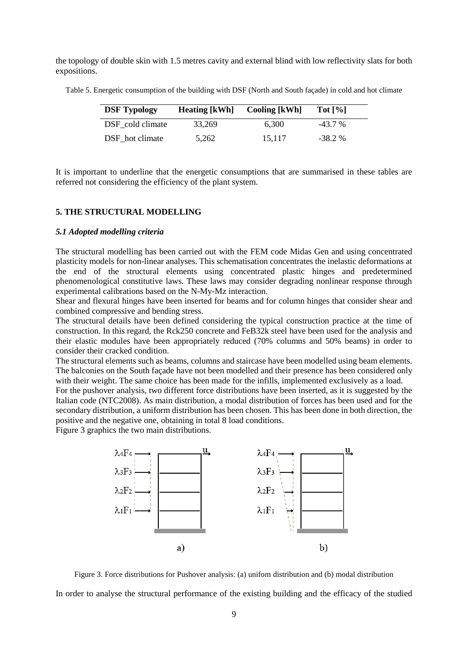the topology of double skin with 1.5 metres cavity and external blind with low reflectivity slats for both expositions.

Table 5. Energetic consumption of the building with DSF (North and South façade) in cold and hot climate

| <b>DSF</b> Typology | <b>Heating</b> [kWh] | <b>Cooling</b> [kWh] | Tot $[\%]$ |
|---------------------|----------------------|----------------------|------------|
| DSF cold climate    | 33.269               | 6.300                | $-43.7\%$  |
| DSF hot climate     | 5,262                | 15.117               | $-38.2\%$  |

It is important to underline that the energetic consumptions that are summarised in these tables are referred not considering the efficiency of the plant system.

## **5. THE STRUCTURAL MODELLING**

#### *5.1 Adopted modelling criteria*

The structural modelling has been carried out with the FEM code Midas Gen and using concentrated plasticity models for non-linear analyses. This schematisation concentrates the inelastic deformations at the end of the structural elements using concentrated plastic hinges and predetermined phenomenological constitutive laws. These laws may consider degrading nonlinear response through experimental calibrations based on the N-My-Mz interaction.

Shear and flexural hinges have been inserted for beams and for column hinges that consider shear and combined compressive and bending stress.

The structural details have been defined considering the typical construction practice at the time of construction. In this regard, the Rck250 concrete and FeB32k steel have been used for the analysis and their elastic modules have been appropriately reduced (70% columns and 50% beams) in order to consider their cracked condition.

The structural elements such as beams, columns and staircase have been modelled using beam elements. The balconies on the South façade have not been modelled and their presence has been considered only with their weight. The same choice has been made for the infills, implemented exclusively as a load.

For the pushover analysis, two different force distributions have been inserted, as it is suggested by the Italian code (NTC2008). As main distribution, a modal distribution of forces has been used and for the secondary distribution, a uniform distribution has been chosen. This has been done in both direction, the positive and the negative one, obtaining in total 8 load conditions.

Figure 3 graphics the two main distributions.



Figure 3. Force distributions for Pushover analysis: (a) unifom distribution and (b) modal distribution

In order to analyse the structural performance of the existing building and the efficacy of the studied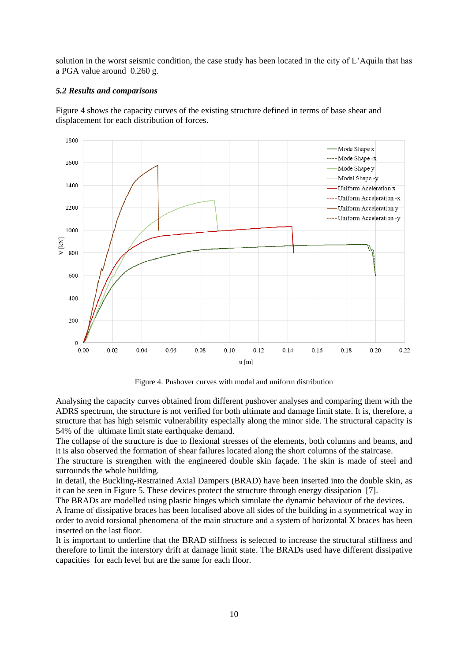solution in the worst seismic condition, the case study has been located in the city of L'Aquila that has a PGA value around 0.260 g.

# *5.2 Results and comparisons*

Figure 4 shows the capacity curves of the existing structure defined in terms of base shear and displacement for each distribution of forces.



Figure 4. Pushover curves with modal and uniform distribution

Analysing the capacity curves obtained from different pushover analyses and comparing them with the ADRS spectrum, the structure is not verified for both ultimate and damage limit state. It is, therefore, a structure that has high seismic vulnerability especially along the minor side. The structural capacity is 54% of the ultimate limit state earthquake demand.

The collapse of the structure is due to flexional stresses of the elements, both columns and beams, and it is also observed the formation of shear failures located along the short columns of the staircase.

The structure is strengthen with the engineered double skin façade. The skin is made of steel and surrounds the whole building.

In detail, the Buckling-Restrained Axial Dampers (BRAD) have been inserted into the double skin, as it can be seen in Figure 5. These devices protect the structure through energy dissipation [7].

The BRADs are modelled using plastic hinges which simulate the dynamic behaviour of the devices.

A frame of dissipative braces has been localised above all sides of the building in a symmetrical way in order to avoid torsional phenomena of the main structure and a system of horizontal X braces has been inserted on the last floor.

It is important to underline that the BRAD stiffness is selected to increase the structural stiffness and therefore to limit the interstory drift at damage limit state. The BRADs used have different dissipative capacities for each level but are the same for each floor.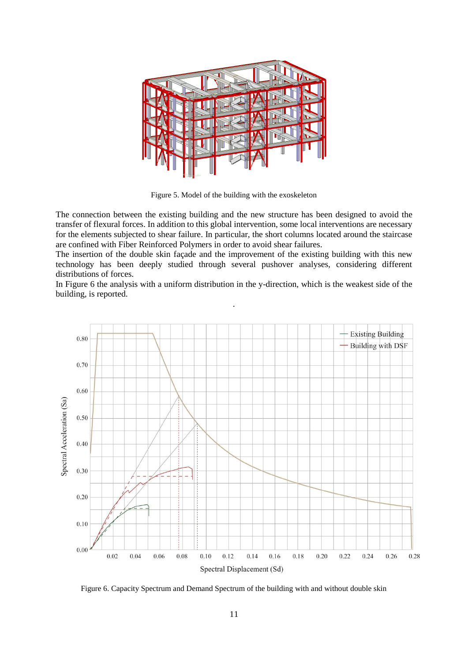

Figure 5. Model of the building with the exoskeleton

The connection between the existing building and the new structure has been designed to avoid the transfer of flexural forces. In addition to this global intervention, some local interventions are necessary for the elements subjected to shear failure. In particular, the short columns located around the staircase are confined with Fiber Reinforced Polymers in order to avoid shear failures.

The insertion of the double skin façade and the improvement of the existing building with this new technology has been deeply studied through several pushover analyses, considering different distributions of forces.

In Figure 6 the analysis with a uniform distribution in the y-direction, which is the weakest side of the building, is reported. .



Figure 6. Capacity Spectrum and Demand Spectrum of the building with and without double skin